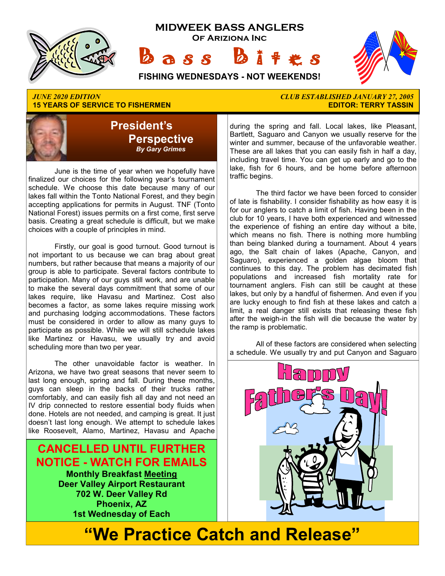

## **15 YEARS OF SERVICE TO FISHERMEN**



 June is the time of year when we hopefully have finalized our choices for the following year's tournament schedule. We choose this date because many of our lakes fall within the Tonto National Forest, and they begin accepting applications for permits in August. TNF (Tonto National Forest) issues permits on a first come, first serve basis. Creating a great schedule is difficult, but we make choices with a couple of principles in mind.

 Firstly, our goal is good turnout. Good turnout is not important to us because we can brag about great numbers, but rather because that means a majority of our group is able to participate. Several factors contribute to participation. Many of our guys still work, and are unable to make the several days commitment that some of our lakes require, like Havasu and Martinez. Cost also becomes a factor, as some lakes require missing work and purchasing lodging accommodations. These factors must be considered in order to allow as many guys to participate as possible. While we will still schedule lakes like Martinez or Havasu, we usually try and avoid scheduling more than two per year.

 The other unavoidable factor is weather. In Arizona, we have two great seasons that never seem to last long enough, spring and fall. During these months, guys can sleep in the backs of their trucks rather comfortably, and can easily fish all day and not need an IV drip connected to restore essential body fluids when done. Hotels are not needed, and camping is great. It just doesn't last long enough. We attempt to schedule lakes like Roosevelt, Alamo, Martinez, Havasu and Apache

**CANCELLED UNTIL FURTHER NOTICE - WATCH FOR EMAILS Monthly Breakfast Meeting Deer Valley Airport Restaurant 702 W. Deer Valley Rd Phoenix, AZ 1st Wednesday of Each** 

# *JUNE 2020 EDITION CLUB ESTABLISHED JANUARY 27, 2005*

during the spring and fall. Local lakes, like Pleasant, Bartlett, Saguaro and Canyon we usually reserve for the winter and summer, because of the unfavorable weather. These are all lakes that you can easily fish in half a day, including travel time. You can get up early and go to the lake, fish for 6 hours, and be home before afternoon traffic begins.

 The third factor we have been forced to consider of late is fishability. I consider fishability as how easy it is for our anglers to catch a limit of fish. Having been in the club for 10 years, I have both experienced and witnessed the experience of fishing an entire day without a bite, which means no fish. There is nothing more humbling than being blanked during a tournament. About 4 years ago, the Salt chain of lakes (Apache, Canyon, and Saguaro), experienced a golden algae bloom that continues to this day. The problem has decimated fish populations and increased fish mortality rate for tournament anglers. Fish can still be caught at these lakes, but only by a handful of fishermen. And even if you are lucky enough to find fish at these lakes and catch a limit, a real danger still exists that releasing these fish after the weigh-in the fish will die because the water by the ramp is problematic.

 All of these factors are considered when selecting a schedule. We usually try and put Canyon and Saguaro



# **"We Practice Catch and Release"**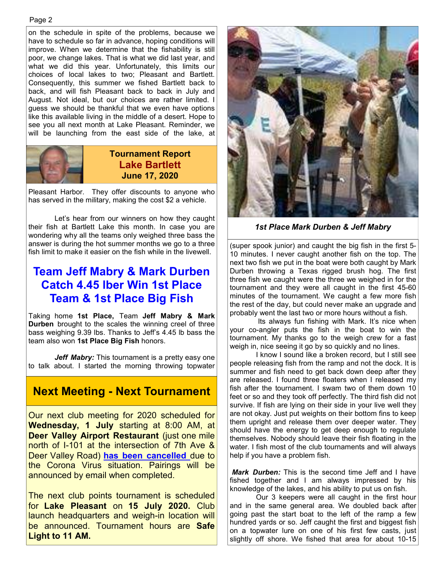on the schedule in spite of the problems, because we have to schedule so far in advance, hoping conditions will improve. When we determine that the fishability is still poor, we change lakes. That is what we did last year, and what we did this year. Unfortunately, this limits our choices of local lakes to two; Pleasant and Bartlett. Consequently, this summer we fished Bartlett back to back, and will fish Pleasant back to back in July and August. Not ideal, but our choices are rather limited. I guess we should be thankful that we even have options like this available living in the middle of a desert. Hope to see you all next month at Lake Pleasant. Reminder, we will be launching from the east side of the lake, at



### **Tournament Report Lake Bartlett June 17, 2020**

Pleasant Harbor. They offer discounts to anyone who has served in the military, making the cost \$2 a vehicle.

 Let's hear from our winners on how they caught their fish at Bartlett Lake this month. In case you are wondering why all the teams only weighed three bass the answer is during the hot summer months we go to a three fish limit to make it easier on the fish while in the livewell.

### **Team Jeff Mabry & Mark Durben Catch 4.45 lber Win 1st Place Team & 1st Place Big Fish**

Taking home **1st Place,** Team **Jeff Mabry & Mark Durben** brought to the scales the winning creel of three bass weighing 9.39 lbs. Thanks to Jeff's 4.45 lb bass the team also won **1st Place Big Fish** honors.

*Jeff Mabry:* This tournament is a pretty easy one to talk about. I started the morning throwing topwater

### **Next Meeting - Next Tournament**

Our next club meeting for 2020 scheduled for **Wednesday, 1 July** starting at 8:00 AM, at **Deer Valley Airport Restaurant** (just one mile north of I-101 at the intersection of 7th Ave & Deer Valley Road) **has been cancelled** due to the Corona Virus situation. Pairings will be announced by email when completed.

The next club points tournament is scheduled for **Lake Pleasant** on **15 July 2020.** Club launch headquarters and weigh-in location will be announced. Tournament hours are **Safe Light to 11 AM.** 



*1st Place Mark Durben & Jeff Mabry* 

(super spook junior) and caught the big fish in the first 5- 10 minutes. I never caught another fish on the top. The next two fish we put in the boat were both caught by Mark Durben throwing a Texas rigged brush hog. The first three fish we caught were the three we weighed in for the tournament and they were all caught in the first 45-60 minutes of the tournament. We caught a few more fish the rest of the day, but could never make an upgrade and probably went the last two or more hours without a fish.

 Its always fun fishing with Mark. It's nice when your co-angler puts the fish in the boat to win the tournament. My thanks go to the weigh crew for a fast weigh in, nice seeing it go by so quickly and no lines.

 I know I sound like a broken record, but I still see people releasing fish from the ramp and not the dock. It is summer and fish need to get back down deep after they are released. I found three floaters when I released my fish after the tournament. I swam two of them down 10 feet or so and they took off perfectly. The third fish did not survive. If fish are lying on their side in your live well they are not okay. Just put weights on their bottom fins to keep them upright and release them over deeper water. They should have the energy to get deep enough to regulate themselves. Nobody should leave their fish floating in the water. I fish most of the club tournaments and will always help if you have a problem fish.

*Mark Durben:* This is the second time Jeff and I have fished together and I am always impressed by his knowledge of the lakes, and his ability to put us on fish.

 Our 3 keepers were all caught in the first hour and in the same general area. We doubled back after going past the start boat to the left of the ramp a few hundred yards or so. Jeff caught the first and biggest fish on a topwater lure on one of his first few casts, just slightly off shore. We fished that area for about 10-15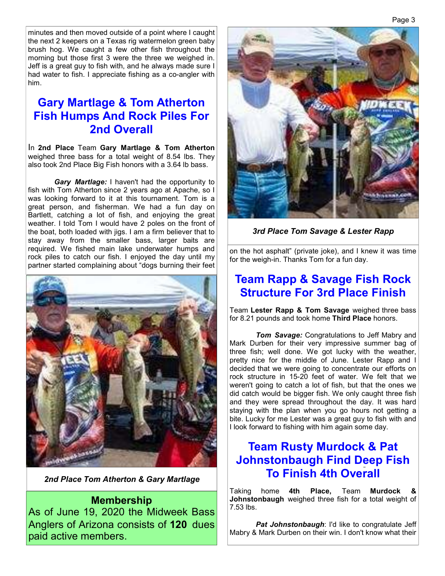minutes and then moved outside of a point where I caught the next 2 keepers on a Texas rig watermelon green baby brush hog. We caught a few other fish throughout the morning but those first 3 were the three we weighed in. Jeff is a great guy to fish with, and he always made sure I had water to fish. I appreciate fishing as a co-angler with him.

### **Gary Martlage & Tom Atherton Fish Humps And Rock Piles For 2nd Overall**

In **2nd Place** Team **Gary Martlage & Tom Atherton**  weighed three bass for a total weight of 8.54 lbs. They also took 2nd Place Big Fish honors with a 3.64 lb bass.

*Gary Martlage:* I haven't had the opportunity to fish with Tom Atherton since 2 years ago at Apache, so I was looking forward to it at this tournament. Tom is a great person, and fisherman. We had a fun day on Bartlett, catching a lot of fish, and enjoying the great weather. I told Tom I would have 2 poles on the front of the boat, both loaded with jigs. I am a firm believer that to stay away from the smaller bass, larger baits are required. We fished main lake underwater humps and rock piles to catch our fish. I enjoyed the day until my partner started complaining about "dogs burning their feet



*2nd Place Tom Atherton & Gary Martlage*

#### **Membership**

As of June 19, 2020 the Midweek Bass Anglers of Arizona consists of **120** dues paid active members.



*3rd Place Tom Savage & Lester Rapp*

on the hot asphalt" (private joke), and I knew it was time for the weigh-in. Thanks Tom for a fun day.

### **Team Rapp & Savage Fish Rock Structure For 3rd Place Finish**

Team **Lester Rapp & Tom Savage** weighed three bass for 8.21 pounds and took home **Third Place** honors.

*Tom Savage:* Congratulations to Jeff Mabry and Mark Durben for their very impressive summer bag of three fish; well done. We got lucky with the weather, pretty nice for the middle of June. Lester Rapp and I decided that we were going to concentrate our efforts on rock structure in 15-20 feet of water. We felt that we weren't going to catch a lot of fish, but that the ones we did catch would be bigger fish. We only caught three fish and they were spread throughout the day. It was hard staying with the plan when you go hours not getting a bite. Lucky for me Lester was a great guy to fish with and I look forward to fishing with him again some day.

### **Team Rusty Murdock & Pat Johnstonbaugh Find Deep Fish To Finish 4th Overall**

Taking home **4th Place,** Team **Murdock & Johnstonbaugh** weighed three fish for a total weight of 7.53 lbs.

**Pat Johnstonbaugh: I'd like to congratulate Jeff** Mabry & Mark Durben on their win. I don't know what their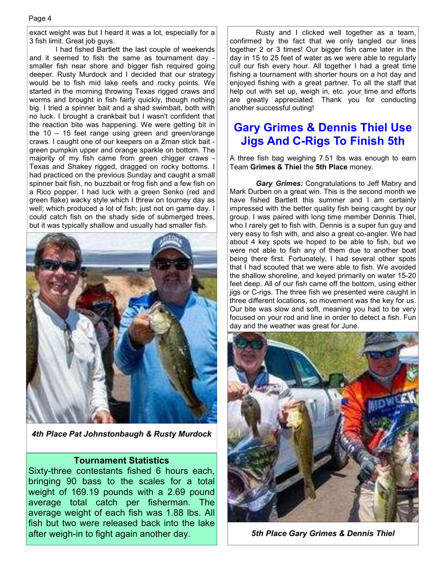exact weight was but I heard it was a lot, especially for a 3 fish limit. Great job guys.

 I had fished Bartlett the last couple of weekends and it seemed to fish the same as tournament day smaller fish near shore and bigger fish required going deeper. Rusty Murdock and I decided that our strategy would be to fish mid lake reefs and rocky points. We started in the morning throwing Texas rigged craws and worms and brought in fish fairly quickly, though nothing big. I tried a spinner bait and a shad swimbait, both with no luck. I brought a crankbait but I wasn't confident that the reaction bite was happening. We were getting bit in the 10 – 15 feet range using green and green/orange craws. I caught one of our keepers on a Zman stick bait green pumpkin upper and orange sparkle on bottom. The majority of my fish came from green chigger craws - Texas and Shakey rigged, dragged on rocky bottoms. I had practiced on the previous Sunday and caught a small spinner bait fish, no buzzbait or frog fish and a few fish on a Rico popper. I had luck with a green Senko (red and green flake) wacky style which I threw on tourney day as well; which produced a lot of fish; just not on game day. I could catch fish on the shady side of submerged trees, but it was typically shallow and usually had smaller fish.



*4th Place Pat Johnstonbaugh & Rusty Murdock* 

#### **Tournament Statistics**

Sixty-three contestants fished 6 hours each, bringing 90 bass to the scales for a total weight of 169.19 pounds with a 2.69 pound average total catch per fisherman. The average weight of each fish was 1.88 lbs. All fish but two were released back into the lake after weigh-in to fight again another day.

 Rusty and I clicked well together as a team, confirmed by the fact that we only tangled our lines together 2 or 3 times! Our bigger fish came later in the day in 15 to 25 feet of water as we were able to regularly cull our fish every hour. All together I had a great time fishing a tournament with shorter hours on a hot day and enjoyed fishing with a great partner. To all the staff that help out with set up, weigh in, etc. your time and efforts are greatly appreciated. Thank you for conducting another successful outing!

### **Gary Grimes & Dennis Thiel Use Jigs And C-Rigs To Finish 5th**

A three fish bag weighing 7.51 lbs was enough to earn Team **Grimes & Thiel** the **5th Place** money.

*Gary Grimes:* Congratulations to Jeff Mabry and Mark Durben on a great win. This is the second month we have fished Bartlett this summer and I am certainly impressed with the better quality fish being caught by our group. I was paired with long time member Dennis Thiel, who I rarely get to fish with. Dennis is a super fun guy and very easy to fish with, and also a great co-angler. We had about 4 key spots we hoped to be able to fish, but we were not able to fish any of them due to another boat being there first. Fortunately, I had several other spots that I had scouted that we were able to fish. We avoided the shallow shoreline, and keyed primarily on water 15-20 feet deep. All of our fish came off the bottom, using either jigs or C-rigs. The three fish we presented were caught in three different locations, so movement was the key for us. Our bite was slow and soft, meaning you had to be very focused on your rod and line in order to detect a fish. Fun day and the weather was great for June.



*5th Place Gary Grimes & Dennis Thiel*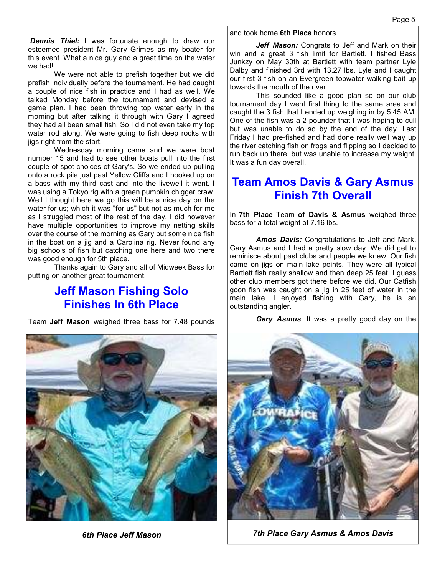**Dennis Thiel:** I was fortunate enough to draw our esteemed president Mr. Gary Grimes as my boater for this event. What a nice guy and a great time on the water we had!

 We were not able to prefish together but we did prefish individually before the tournament. He had caught a couple of nice fish in practice and I had as well. We talked Monday before the tournament and devised a game plan. I had been throwing top water early in the morning but after talking it through with Gary I agreed they had all been small fish. So I did not even take my top water rod along. We were going to fish deep rocks with jigs right from the start.

 Wednesday morning came and we were boat number 15 and had to see other boats pull into the first couple of spot choices of Gary's. So we ended up pulling onto a rock pile just past Yellow Cliffs and I hooked up on a bass with my third cast and into the livewell it went. I was using a Tokyo rig with a green pumpkin chigger craw. Well I thought here we go this will be a nice day on the water for us; which it was "for us" but not as much for me as I struggled most of the rest of the day. I did however have multiple opportunities to improve my netting skills over the course of the morning as Gary put some nice fish in the boat on a jig and a Carolina rig. Never found any big schools of fish but catching one here and two there was good enough for 5th place.

 Thanks again to Gary and all of Midweek Bass for putting on another great tournament.

### **Jeff Mason Fishing Solo Finishes In 6th Place**

Team **Jeff Mason** weighed three bass for 7.48 pounds



and took home **6th Place** honors.

 *Jeff Mason:* Congrats to Jeff and Mark on their win and a great 3 fish limit for Bartlett. I fished Bass Junkzy on May 30th at Bartlett with team partner Lyle Dalby and finished 3rd with 13.27 lbs. Lyle and I caught our first 3 fish on an Evergreen topwater walking bait up towards the mouth of the river.

 This sounded like a good plan so on our club tournament day I went first thing to the same area and caught the 3 fish that I ended up weighing in by 5:45 AM. One of the fish was a 2 pounder that I was hoping to cull but was unable to do so by the end of the day. Last Friday I had pre-fished and had done really well way up the river catching fish on frogs and flipping so I decided to run back up there, but was unable to increase my weight. It was a fun day overall.

### **Team Amos Davis & Gary Asmus Finish 7th Overall**

In **7th Place** Team **of Davis & Asmus** weighed three bass for a total weight of 7.16 lbs.

 *Amos Davis:* Congratulations to Jeff and Mark. Gary Asmus and I had a pretty slow day. We did get to reminisce about past clubs and people we knew. Our fish came on jigs on main lake points. They were all typical Bartlett fish really shallow and then deep 25 feet. I guess other club members got there before we did. Our Catfish goon fish was caught on a jig in 25 feet of water in the main lake. I enjoyed fishing with Gary, he is an outstanding angler.

*Gary Asmus*: It was a pretty good day on the



*6th Place Jeff Mason 7th Place Gary Asmus & Amos Davis*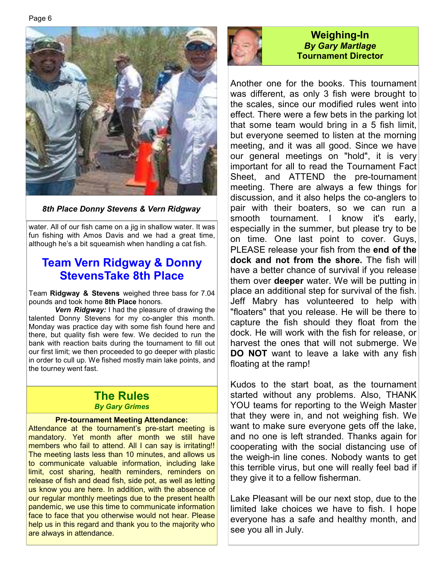

*8th Place Donny Stevens & Vern Ridgway*

water. All of our fish came on a jig in shallow water. It was fun fishing with Amos Davis and we had a great time, although he's a bit squeamish when handling a cat fish.

### **Team Vern Ridgway & Donny StevensTake 8th Place**

Team **Ridgway & Stevens** weighed three bass for 7.04 pounds and took home **8th Place** honors.

*Vern Ridgway:* I had the pleasure of drawing the talented Donny Stevens for my co-angler this month. Monday was practice day with some fish found here and there, but quality fish were few. We decided to run the bank with reaction baits during the tournament to fill out our first limit; we then proceeded to go deeper with plastic in order to cull up. We fished mostly main lake points, and the tourney went fast.

### **The Rules**  *By Gary Grimes*

#### **Pre-tournament Meeting Attendance:**

Attendance at the tournament's pre-start meeting is mandatory. Yet month after month we still have members who fail to attend. All I can say is irritating!! The meeting lasts less than 10 minutes, and allows us to communicate valuable information, including lake limit, cost sharing, health reminders, reminders on release of fish and dead fish, side pot, as well as letting us know you are here. In addition, with the absence of our regular monthly meetings due to the present health pandemic, we use this time to communicate information face to face that you otherwise would not hear. Please help us in this regard and thank you to the majority who are always in attendance.



### **Weighing-In**  *By Gary Martlage*  **Tournament Director**

Another one for the books. This tournament was different, as only 3 fish were brought to the scales, since our modified rules went into effect. There were a few bets in the parking lot that some team would bring in a 5 fish limit, but everyone seemed to listen at the morning meeting, and it was all good. Since we have our general meetings on "hold", it is very important for all to read the Tournament Fact Sheet, and ATTEND the pre-tournament meeting. There are always a few things for discussion, and it also helps the co-anglers to pair with their boaters, so we can run a smooth tournament. I know it's early, especially in the summer, but please try to be on time. One last point to cover. Guys, PLEASE release your fish from the **end of the dock and not from the shore.** The fish will have a better chance of survival if you release them over **deeper** water. We will be putting in place an additional step for survival of the fish. Jeff Mabry has volunteered to help with "floaters" that you release. He will be there to capture the fish should they float from the dock. He will work with the fish for release, or harvest the ones that will not submerge. We **DO NOT** want to leave a lake with any fish floating at the ramp!

Kudos to the start boat, as the tournament started without any problems. Also, THANK YOU teams for reporting to the Weigh Master that they were in, and not weighing fish. We want to make sure everyone gets off the lake, and no one is left stranded. Thanks again for cooperating with the social distancing use of the weigh-in line cones. Nobody wants to get this terrible virus, but one will really feel bad if they give it to a fellow fisherman.

Lake Pleasant will be our next stop, due to the limited lake choices we have to fish. I hope everyone has a safe and healthy month, and see you all in July.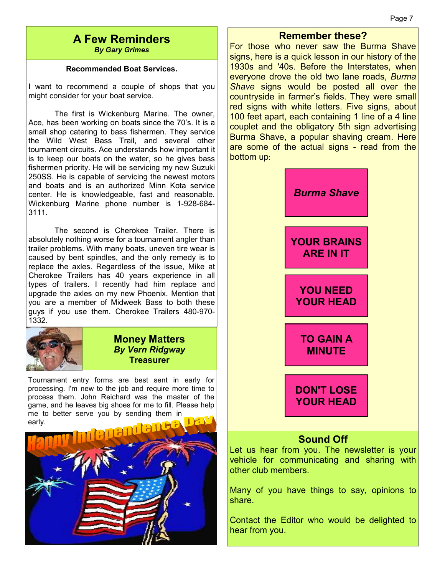#### Page 7

#### **A Few Reminders**  *By Gary Grimes*

#### **Recommended Boat Services.**

I want to recommend a couple of shops that you might consider for your boat service.

 The first is Wickenburg Marine. The owner, Ace, has been working on boats since the 70's. It is a small shop catering to bass fishermen. They service the Wild West Bass Trail, and several other tournament circuits. Ace understands how important it is to keep our boats on the water, so he gives bass fishermen priority. He will be servicing my new Suzuki 250SS. He is capable of servicing the newest motors and boats and is an authorized Minn Kota service center. He is knowledgeable, fast and reasonable. Wickenburg Marine phone number is 1-928-684- 3111.

 The second is Cherokee Trailer. There is absolutely nothing worse for a tournament angler than trailer problems. With many boats, uneven tire wear is caused by bent spindles, and the only remedy is to replace the axles. Regardless of the issue, Mike at Cherokee Trailers has 40 years experience in all types of trailers. I recently had him replace and upgrade the axles on my new Phoenix. Mention that you are a member of Midweek Bass to both these guys if you use them. Cherokee Trailers 480-970- 1332.



#### **Money Matters**  *By Vern Ridgway*  **Treasurer**

Tournament entry forms are best sent in early for processing. I'm new to the job and require more time to process them. John Reichard was the master of the game, and he leaves big shoes for me to fill. Please help me to better serve you by sending them in early.



#### **Remember these?**

For those who never saw the Burma Shave signs, here is a quick lesson in our history of the 1930s and '40s. Before the Interstates, when everyone drove the old two lane roads, *Burma Shave* signs would be posted all over the countryside in farmer's fields. They were small red signs with white letters. Five signs, about 100 feet apart, each containing 1 line of a 4 line couplet and the obligatory 5th sign advertising Burma Shave, a popular shaving cream. Here are some of the actual signs - read from the bottom up:



### **Sound Off**

Let us hear from you. The newsletter is your vehicle for communicating and sharing with other club members.

Many of you have things to say, opinions to share.

Contact the Editor who would be delighted to hear from you.